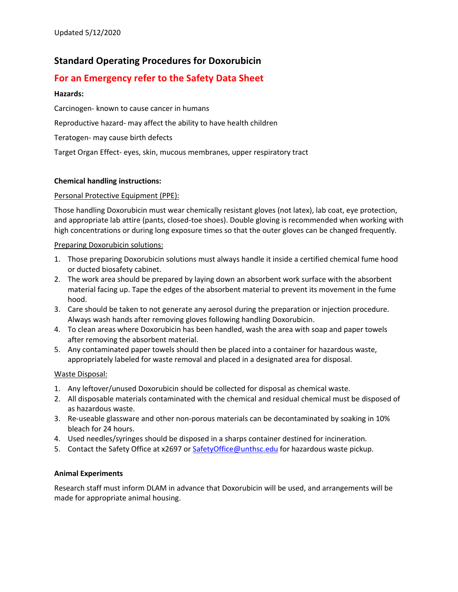# **Standard Operating Procedures for Doxorubicin**

## **For an Emergency refer to the Safety Data Sheet**

### **Hazards:**

Carcinogen- known to cause cancer in humans

Reproductive hazard- may affect the ability to have health children

Teratogen- may cause birth defects

Target Organ Effect- eyes, skin, mucous membranes, upper respiratory tract

#### **Chemical handling instructions:**

#### Personal Protective Equipment (PPE):

Those handling Doxorubicin must wear chemically resistant gloves (not latex), lab coat, eye protection, and appropriate lab attire (pants, closed-toe shoes). Double gloving is recommended when working with high concentrations or during long exposure times so that the outer gloves can be changed frequently.

#### Preparing Doxorubicin solutions:

- 1. Those preparing Doxorubicin solutions must always handle it inside a certified chemical fume hood or ducted biosafety cabinet.
- 2. The work area should be prepared by laying down an absorbent work surface with the absorbent material facing up. Tape the edges of the absorbent material to prevent its movement in the fume hood.
- 3. Care should be taken to not generate any aerosol during the preparation or injection procedure. Always wash hands after removing gloves following handling Doxorubicin.
- 4. To clean areas where Doxorubicin has been handled, wash the area with soap and paper towels after removing the absorbent material.
- 5. Any contaminated paper towels should then be placed into a container for hazardous waste, appropriately labeled for waste removal and placed in a designated area for disposal.

#### Waste Disposal:

- 1. Any leftover/unused Doxorubicin should be collected for disposal as chemical waste.
- 2. All disposable materials contaminated with the chemical and residual chemical must be disposed of as hazardous waste.
- 3. Re-useable glassware and other non-porous materials can be decontaminated by soaking in 10% bleach for 24 hours.
- 4. Used needles/syringes should be disposed in a sharps container destined for incineration.
- 5. Contact the Safety Office at x2697 or SafetyOffice@unthsc.edu for hazardous waste pickup.

#### **Animal Experiments**

Research staff must inform DLAM in advance that Doxorubicin will be used, and arrangements will be made for appropriate animal housing.